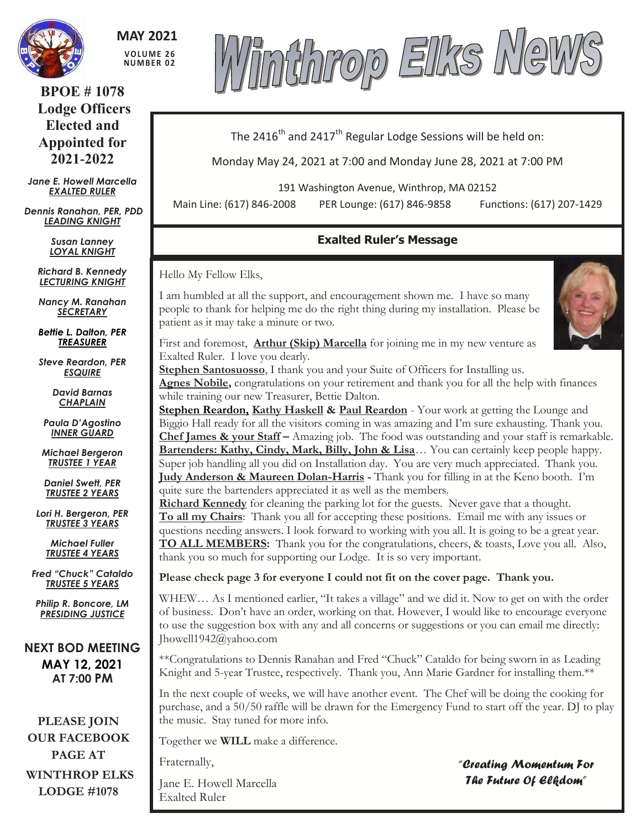

**MAY 2021 V O LU M E 2 6 NU M B E R 0 2**

**BPOE # 1078 Lodge Officers Elected and Appointed for 2021-2022**

*Jane E. Howell Marcella EXALTED RULER*

*Dennis Ranahan, PER, PDD LEADING KNIGHT*

> *Susan Lanney LOYAL KNIGHT*

*Richard B. Kennedy LECTURING KNIGHT*

*Nancy M. Ranahan SECRETARY*

*Bettie L. Dalton, PER TREASURER*

*Steve Reardon, PER ESQUIRE*

> *David Barnas CHAPLAIN*

*Paula D'Agostino INNER GUARD*

*Michael Bergeron TRUSTEE 1 YEAR*

*Daniel Swett, PER TRUSTEE 2 YEARS*

*Lori H. Bergeron, PER TRUSTEE 3 YEARS*

> *Michael Fuller TRUSTEE 4 YEARS*

*Fred "Chuck" Cataldo TRUSTEE 5 YEARS*

*Philip R. Boncore, LM PRESIDING JUSTICE*

**NEXT BOD MEETING MAY 12, 2021 AT 7:00 PM**

**PLEASE JOIN OUR FACEBOOK PAGE AT WINTHROP ELKS LODGE #1078**



The 2416<sup>th</sup> and 2417<sup>th</sup> Regular Lodge Sessions will be held on:

Monday May 24, 2021 at 7:00 and Monday June 28, 2021 at 7:00 PM

191 Washington Avenue, Winthrop, MA 02152

Main Line: (617) 846-2008 PER Lounge: (617) 846-9858 Functions: (617) 207-1429

# **Exalted Ruler's Message**

Hello My Fellow Elks,

I am humbled at all the support, and encouragement shown me. I have so many people to thank for helping me do the right thing during my installation. Please be patient as it may take a minute or two.



First and foremost, **Arthur (Skip) Marcella** for joining me in my new venture as Exalted Ruler. I love you dearly.

**Stephen Santosuosso**, I thank you and your Suite of Officers for Installing us. **Agnes Nobile,** congratulations on your retirement and thank you for all the help with finances while training our new Treasurer, Bettie Dalton.

**Stephen Reardon, Kathy Haskell & Paul Reardon** - Your work at getting the Lounge and Biggio Hall ready for all the visitors coming in was amazing and I'm sure exhausting. Thank you. **Chef James & your Staff –** Amazing job. The food was outstanding and your staff is remarkable. **Bartenders: Kathy, Cindy, Mark, Billy, John & Lisa**… You can certainly keep people happy. Super job handling all you did on Installation day. You are very much appreciated. Thank you. **Judy Anderson & Maureen Dolan-Harris -** Thank you for filling in at the Keno booth. I'm quite sure the bartenders appreciated it as well as the members.

**Richard Kennedy** for cleaning the parking lot for the guests. Never gave that a thought. **To all my Chairs**: Thank you all for accepting these positions. Email me with any issues or questions needing answers. I look forward to working with you all. It is going to be a great year. **TO ALL MEMBERS:** Thank you for the congratulations, cheers, & toasts, Love you all. Also, thank you so much for supporting our Lodge. It is so very important.

**Please check page 3 for everyone I could not fit on the cover page. Thank you.**

WHEW... As I mentioned earlier, "It takes a village" and we did it. Now to get on with the order of business. Don't have an order, working on that. However, I would like to encourage everyone to use the suggestion box with any and all concerns or suggestions or you can email me directly: Jhowell1942@yahoo.com

\*\*Congratulations to Dennis Ranahan and Fred "Chuck" Cataldo for being sworn in as Leading Knight and 5-year Trustee, respectively. Thank you, Ann Marie Gardner for installing them.\*\*

In the next couple of weeks, we will have another event. The Chef will be doing the cooking for purchase, and a 50/50 raffle will be drawn for the Emergency Fund to start off the year. DJ to play the music. Stay tuned for more info.

Together we **WILL** make a difference.

Fraternally,

Jane E. Howell Marcella Exalted Ruler

*"Creating Momentum For The Future Of Elkdom"*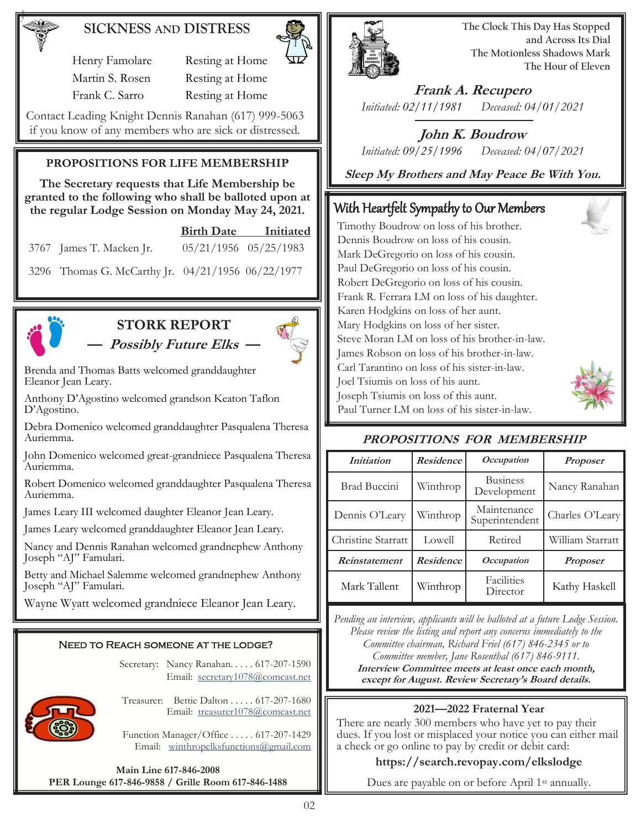# **SICKNESS AND DISTRESS**

Henry Famolare Resting at Home Martin S. Rosen Resting at Home Frank C. Sarro Resting at Home

Contact Leading Knight Dennis Ranahan (617) 999-5063 if you know of any members who are sick or distressed.

### **PROPOSITIONS FOR LIFE MEMBERSHIP**

**The Secretary requests that Life Membership be granted to the following who shall be balloted upon at the regular Lodge Session on Monday May 24, 2021.** 

 **Birth Date Initiated**

3767 James T. Macken Jr. 05/21/1956 05/25/1983

3296 Thomas G. McCarthy Jr. 04/21/1956 06/22/1977



# **STORK REPORT — Possibly Future Elks —**



Brenda and Thomas Batts welcomed granddaughter Eleanor Jean Leary.

Anthony D'Agostino welcomed grandson Keaton Taflon D'Agostino.

Debra Domenico welcomed granddaughter Pasqualena Theresa Auriemma.

John Domenico welcomed great-grandniece Pasqualena Theresa Auriemma.

Robert Domenico welcomed granddaughter Pasqualena Theresa Auriemma.

James Leary III welcomed daughter Eleanor Jean Leary.

James Leary welcomed granddaughter Eleanor Jean Leary.

Nancy and Dennis Ranahan welcomed grandnephew Anthony Joseph "AJ" Famulari.

Betty and Michael Salemme welcomed grandnephew Anthony Joseph "AJ" Famulari.

Wayne Wyatt welcomed grandniece Eleanor Jean Leary.

#### Need to Reach someone at the lodge?

Secretary: Nancy Ranahan. . . . . 617-207-1590 Email: [secretary1078@comcast.net](mailto:SECRETARY1078@COMCAST.NET) 



Treasurer: Bettie Dalton . . . . . 617-207-1680 Email: treasure[r1078@comcast.net](mailto:SECRETARY1078@COMCAST.NET)

Function Manager/Office . . . . . 617-207-1429 Email: [winthropelksfunctions@gmail.com](mailto:winthropelksfunctions@gmail.com)

**Main Line 617-846-2008 PER Lounge 617-846-9858 / Grille Room 617-846-1488**



**The Clock This Day Has Stopped and Across Its Dial The Motionless Shadows Mark The Hour of Eleven**

**Frank A. Recupero** *Initiated: 02/11/1981 Deceased: 04/01/2021*

**John K. Boudrow** *Initiated: 09/25/1996 Deceased: 04/07/2021*

**Sleep My Brothers and May Peace Be With You.**

# With Heartfelt Sympathy to Our Members

Timothy Boudrow on loss of his brother. Dennis Boudrow on loss of his cousin. Mark DeGregorio on loss of his cousin. Paul DeGregorio on loss of his cousin. Robert DeGregorio on loss of his cousin. Frank R. Ferrara LM on loss of his daughter. Karen Hodgkins on loss of her aunt. Mary Hodgkins on loss of her sister. Steve Moran LM on loss of his brother-in-law. James Robson on loss of his brother-in-law. Carl Tarantino on loss of his sister-in-law. Joel Tsiumis on loss of his aunt. Joseph Tsiumis on loss of this aunt. Paul Turner LM on loss of his sister-in-law.



## **PROPOSITIONS FOR MEMBERSHIP**

| <i>Initiation</i>  | <b>Residence</b> | <i>Occupation</i>              | <b>Proposer</b>  |
|--------------------|------------------|--------------------------------|------------------|
| Brad Buccini       | Winthrop         | <b>Business</b><br>Development | Nancy Ranahan    |
| Dennis O'Leary     | Winthrop         | Maintenance<br>Superintendent  | Charles O'Leary  |
| Christine Starratt | Lowell           | Retired                        | William Starratt |
| Reinstatement      | <b>Residence</b> | <i>Occupation</i>              | <b>Proposer</b>  |
| Mark Tallent       | Winthrop         | Facilities<br>Director         | Kathy Haskell    |

*Pending an interview, applicants will be balloted at a future Lodge Session. Please review the listing and report any concerns immediately to the Committee chairman, Richard Friel (617) 846-2345 or to Committee member, Jane Rosenthal (617) 846-9111.* **Interview Committee meets at least once each month, except for August. Review Secretary's Board details.**

### **2021—2022 Fraternal Year**

There are nearly 300 members who have yet to pay their dues. If you lost or misplaced your notice you can either mail a check or go online to pay by credit or debit card:

### **https://search.revopay.com/elkslodge**

Dues are payable on or before April 1<sup>st</sup> annually.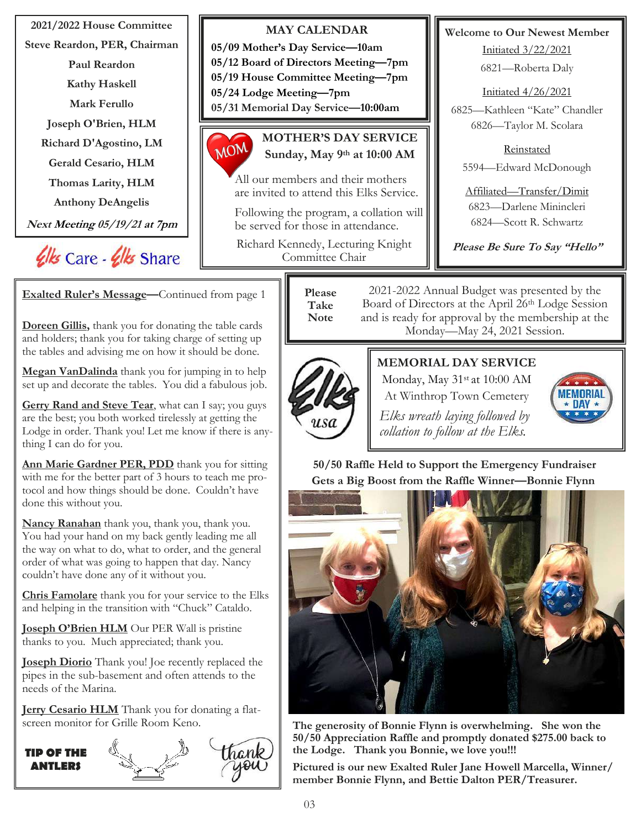**2021/2022 House Committee MAY CALENDAR Welcome to Our Newest Member Steve Reardon, PER, Chairman 05/09 Mother's Day Service—10am** Initiated 3/22/2021 **05/12 Board of Directors Meeting—7pm Paul Reardon** 6821—Roberta Daly **05/19 House Committee Meeting—7pm Kathy Haskell** Initiated 4/26/2021 **05/24 Lodge Meeting—7pm Mark Ferullo 05/31 Memorial Day Service—10:00am** 6825—Kathleen "Kate" Chandler **Joseph O'Brien, HLM** 6826—Taylor M. Scolara **MOTHER'S DAY SERVICE** MOM **Richard D'Agostino, LM** Reinstated **Sunday, May 9th at 10:00 AM Gerald Cesario, HLM** 5594—Edward McDonough All our members and their mothers **Thomas Larity, HLM** are invited to attend this Elks Service. Affiliated—Transfer/Dimit **Anthony DeAngelis** 6823—Darlene Minincleri Following the program, a collation will 6824—Scott R. Schwartz **Next Meeting 05/19/21 at 7pm** be served for those in attendance. Richard Kennedy, Lecturing Knight  **Please Be Sure To Say "Hello"** Ulls Care - Ulls Share Committee Chair 2021-2022 Annual Budget was presented by the **Please Exalted Ruler's Message—**Continued from page 1 Board of Directors at the April 26th Lodge Session **Take**  and is ready for approval by the membership at the **NoteDoreen Gillis,** thank you for donating the table cards Monday—May 24, 2021 Session. and holders; thank you for taking charge of setting up the tables and advising me on how it should be done. **MEMORIAL DAY SERVICE Megan VanDalinda** thank you for jumping in to help Monday, May 31st at 10:00 AM set up and decorate the tables. You did a fabulous job. At Winthrop Town Cemetery **MEMORIAL Gerry Rand and Steve Tear**, what can I say; you guys  $\star$  nav  $\star$ *Elks wreath laying followed by* are the best; you both worked tirelessly at getting the Lodge in order. Thank you! Let me know if there is any*collation to follow at the Elks.* thing I can do for you. **50/50 Raffle Held to Support the Emergency Fundraiser Ann Marie Gardner PER, PDD** thank you for sitting with me for the better part of 3 hours to teach me pro-**Gets a Big Boost from the Raffle Winner—Bonnie Flynn** tocol and how things should be done. Couldn't have done this without you. **Nancy Ranahan** thank you, thank you, thank you. You had your hand on my back gently leading me all the way on what to do, what to order, and the general order of what was going to happen that day. Nancy couldn't have done any of it without you. **Chris Famolare** thank you for your service to the Elks and helping in the transition with "Chuck" Cataldo. **Joseph O'Brien HLM** Our PER Wall is pristine thanks to you. Much appreciated; thank you. **Joseph Diorio** Thank you! Joe recently replaced the pipes in the sub-basement and often attends to the needs of the Marina. **Jerry Cesario HLM** Thank you for donating a flatscreen monitor for Grille Room Keno. **The generosity of Bonnie Flynn is overwhelming. She won the 50/50 Appreciation Raffle and promptly donated \$275.00 back to the Lodge. Thank you Bonnie, we love you!!! TIP OF THE** 

> **Pictured is our new Exalted Ruler Jane Howell Marcella, Winner/ member Bonnie Flynn, and Bettie Dalton PER/Treasurer.**

**ANTLERS**